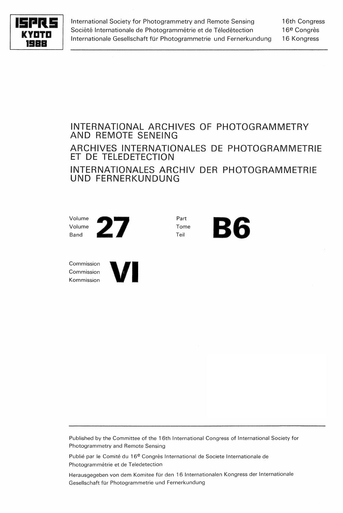

International Society for Photogrammetry and Remote Sensing Société Internationale de Photogrammétrie et de Téledétection Internationale Gesellschaft für Photogrammetrie und Fernerkundung

16th Congress 16<sup>e</sup> Congrès 16 Kongress

# INTERNATIONAL ARCHIVES OF PHOTOGRAMMETRY AND REMOTE SENEING ARCHIVES INTERNATIONALES DE PHOTOGRAMMETRIE ET DE TELEDETECTION INTERNATIONALES ARCHIV DER PHOTOGRAMMETRIE UND FERNERKUNDUNG

Tome **B6** 

Part Tome



Commission Commission



Published by the Committee of the 16th International Congress of International Society for Photogrammetry and Remote Sensing

Publié par le Comité du 16<sup>e</sup> Congrès International de Societe Internationale de Photogrammétrie et de Teledetection

Herausgegeben von dem Komitee für den 16 Internationalen Kongress der Internationale Gesellschaft für Photogrammetrie und Fernerkundung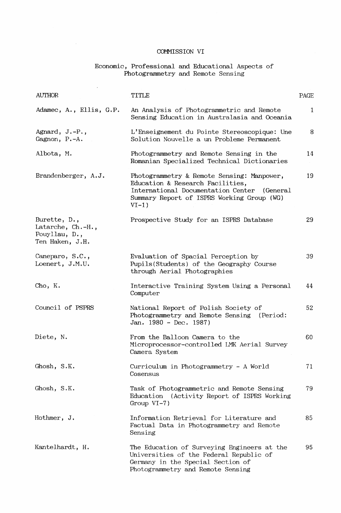$\hat{\boldsymbol{\theta}}$ 

### Economic, Professional and Educational Aspects of Photogrammetry and Remote Sensing

| <b>AUTHOR</b>                                                         | TITLE                                                                                                                                                                                     | PAGE |
|-----------------------------------------------------------------------|-------------------------------------------------------------------------------------------------------------------------------------------------------------------------------------------|------|
| Adamec, A., Ellis, G.P.                                               | An Analysis of Photogrammetric and Remote<br>Sensing Education in Australasia and Oceania                                                                                                 | 1    |
| Agnard, J.-P.,<br>Gagnon, P.-A.                                       | L'Enseignement du Pointe Stereoscopique: Une<br>Solution Nouvelle a un Probleme Permanent                                                                                                 | 8    |
| Albota, M.                                                            | Photogrammetry and Remote Sensing in the<br>Romanian Specialized Technical Dictionaries                                                                                                   | 14   |
| Brandenberger, A.J.                                                   | Photogrammetry & Remote Sensing: Manpower,<br>Education & Research Facilities,<br>International Documentation Center<br>(General<br>Summary Report of ISPRS Working Group (WG)<br>$VI-1)$ | 19   |
| Burette, D.,<br>Latarche, Ch.-H.,<br>Pouyllau, D.,<br>Ten Haken, J.H. | Prospective Study for an ISPRS Database                                                                                                                                                   | 29   |
| Caneparo, S.C.,<br>Loenert, J.M.U.                                    | Evaluation of Spacial Perception by<br>Pupils (Students) of the Geography Course<br>through Aerial Photographies                                                                          | 39   |
| Cho, K.                                                               | Interactive Training System Using a Personal<br>Computer                                                                                                                                  | 44   |
| Council of PSPRS                                                      | National Report of Polish Society of<br>Photogrammetry and Remote Sensing<br>(Period:<br>Jan. $1980 - Dec. 1987$ )                                                                        | 52   |
| Diete, N.                                                             | From the Balloon Camera to the<br>Microprocessor-controlled LMK Aerial Survey<br>Camera System                                                                                            | 60   |
| Ghosh, S.K.                                                           | Curriculum in Photogrammetry - A World<br>Cosensus                                                                                                                                        | 71   |
| Ghosh, S.K.                                                           | Task of Photogrammetric and Remote Sensing<br>(Activity Report of ISPRS Working<br>Education<br>Group $VI-7$ )                                                                            | 79   |
| Hothmer, J.                                                           | Information Retrieval for Literature and<br>Factual Data in Photogrammetry and Remote<br>Sensing                                                                                          | 85   |
| Kantelhardt, H.                                                       | The Education of Surveying Engineers at the<br>Universities of the Federal Republic of<br>Germany in the Special Section of<br>Photogrammetry and Remote Sensing                          | 95   |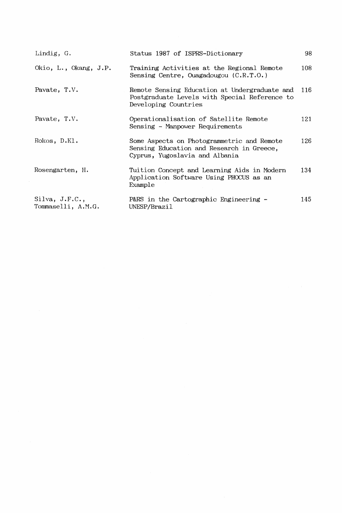| Lindig, G.                                            | Status 1987 of ISPRS-Dictionary                                                                                           | 98   |
|-------------------------------------------------------|---------------------------------------------------------------------------------------------------------------------------|------|
| Okio, L., Okang, J.P.                                 | Training Activities at the Regional Remote<br>Sensing Centre, Ouagadougou $(C.R.T.O.)$                                    | 108  |
| Pavate, T.V.                                          | Remote Sensing Education at Undergraduate and<br>Postgraduate Levels with Special Reference to<br>Developing Countries    | 116  |
| Pavate, T.V.                                          | Operationalisation of Satellite Remote<br>Sensing - Manpower Requirements                                                 | 121  |
| Rokos, D.Kl.                                          | Some Aspects on Photogrammetric and Remote<br>Sensing Education and Research in Greece,<br>Cyprus, Yugoslavia and Albania | 126  |
| Rosengarten, H.                                       | Tuition Concept and Learning Aids in Modern<br>Application Software Using PHOCUS as an<br>Example                         | 134. |
| $\text{Silva}, \text{ J.F.C.},$<br>Tommaselli, A.M.G. | P&RS in the Cartographic Engineering -<br>UNESP/Brazil                                                                    | 145. |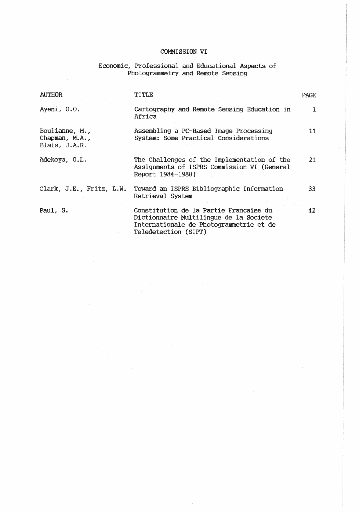# Economic, Professional and Educational Aspects of<br>Photogrammetry and Remote Sensing

| <b>AUTHOR</b>                                      | TITLE                                                                                                                                               | <b>PAGE</b> |
|----------------------------------------------------|-----------------------------------------------------------------------------------------------------------------------------------------------------|-------------|
| Ayeni, 0.0.                                        | Cartography and Remote Sensing Education in<br>Africa                                                                                               | 1           |
| Boulianne, M.,<br>Chapman, $M.A.$<br>Blais, J.A.R. | Assembling a PC-Based Image Processing<br>System: Some Practical Considerations                                                                     | 11          |
| Adekoya, O.L.                                      | The Challenges of the Implementation of the<br>Assignments of ISPRS Commission VI (General<br>Report 1984-1988)                                     | 21          |
| Clark, J.E., Fritz, L.W.                           | Toward an ISPRS Bibliographic Information<br>Retrieval System                                                                                       | 33          |
| Paul, S.                                           | Constitution de la Partie Francaise du<br>Dictionnaire Multilingue de la Societe<br>Internationale de Photogrammetrie et de<br>Teledetection (SIPT) | 42          |
|                                                    |                                                                                                                                                     |             |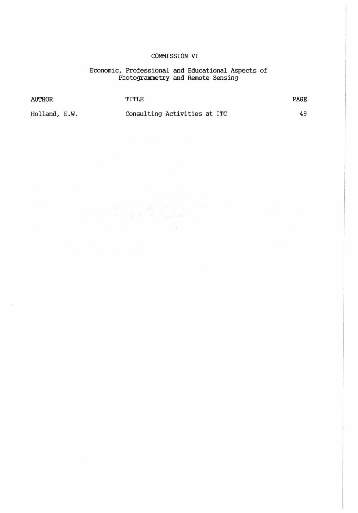# Economic, Professional and Educational Aspects of<br>Photogrammetry and Remote Sensing

| <b>AUTHOR</b> | TITLE.                       | <b>PAGE</b> |
|---------------|------------------------------|-------------|
| Holland, E.W. | Consulting Activities at ITC | 49          |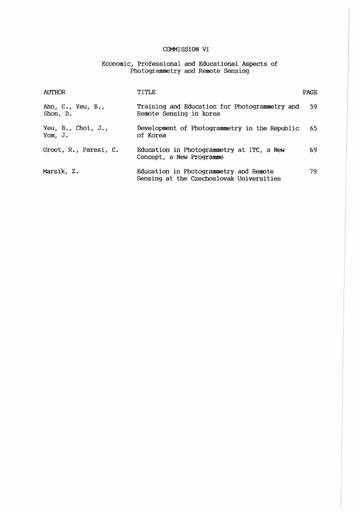Economic, Professional and Educational Aspects of Photogrammetry and Remote Sensing

| <b>AUTHOR</b>                                         | TITLE                                                                              | <b>PAGE</b> |
|-------------------------------------------------------|------------------------------------------------------------------------------------|-------------|
| Ahn, $C_{\bullet}$ , Yeu, $B_{\bullet}$ ,<br>Shon, D. | Training and Education for Photogrammetry and<br>Remote Sensing in korea           | 59          |
| Yeu, $B_{\ast}$ , Choi, J.,<br>Yom, J.                | Development of Photogrammetry in the Republic<br>of Korea                          | 65          |
| Groot, R., Paresi, C.                                 | Education in Photogrammetry at ITC, a New<br>Concept, a New Programme              | 69          |
| Marsik, Z.                                            | Education in Photogrammetry and Remote<br>Sensing at the Czechoslovak Universities | 79.         |